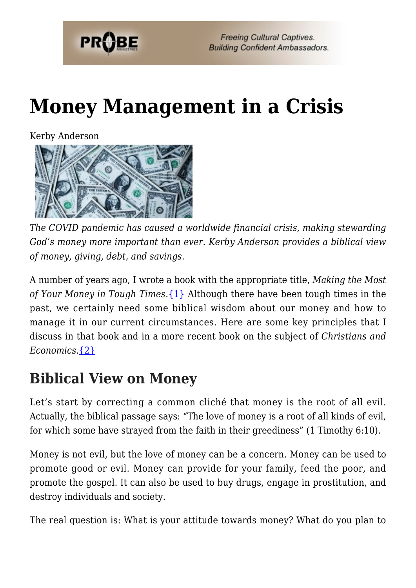

# **[Money Management in a Crisis](https://probe.org/money-management-in-a-crisis/)**

Kerby Anderson



*The COVID pandemic has caused a worldwide financial crisis, making stewarding God's money more important than ever. Kerby Anderson provides a biblical view of money, giving, debt, and savings.*

A number of years ago, I wrote a book with the appropriate title, *Making the Most of Your Money in Tough Times*.[{1}](#page-7-0) Although there have been tough times in the past, we certainly need some biblical wisdom about our money and how to manage it in our current circumstances. Here are some key principles that I discuss in that book and in a more recent book on the subject of *Christians and Economics*.[{2}](#page-8-0)

# **Biblical View on Money**

Let's start by correcting a common cliché that money is the root of all evil. Actually, the biblical passage says: "The love of money is a root of all kinds of evil, for which some have strayed from the faith in their greediness" (1 Timothy 6:10).

Money is not evil, but the love of money can be a concern. Money can be used to promote good or evil. Money can provide for your family, feed the poor, and promote the gospel. It can also be used to buy drugs, engage in prostitution, and destroy individuals and society.

The real question is: What is your attitude towards money? What do you plan to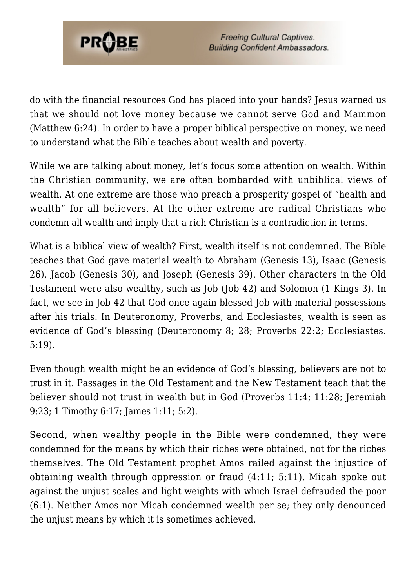

do with the financial resources God has placed into your hands? Jesus warned us that we should not love money because we cannot serve God and Mammon (Matthew 6:24). In order to have a proper biblical perspective on money, we need to understand what the Bible teaches about wealth and poverty.

While we are talking about money, let's focus some attention on wealth. Within the Christian community, we are often bombarded with unbiblical views of wealth. At one extreme are those who preach a prosperity gospel of "health and wealth" for all believers. At the other extreme are radical Christians who condemn all wealth and imply that a rich Christian is a contradiction in terms.

What is a biblical view of wealth? First, wealth itself is not condemned. The Bible teaches that God gave material wealth to Abraham (Genesis 13), Isaac (Genesis 26), Jacob (Genesis 30), and Joseph (Genesis 39). Other characters in the Old Testament were also wealthy, such as Job (Job 42) and Solomon (1 Kings 3). In fact, we see in Job 42 that God once again blessed Job with material possessions after his trials. In Deuteronomy, Proverbs, and Ecclesiastes, wealth is seen as evidence of God's blessing (Deuteronomy 8; 28; Proverbs 22:2; Ecclesiastes. 5:19).

Even though wealth might be an evidence of God's blessing, believers are not to trust in it. Passages in the Old Testament and the New Testament teach that the believer should not trust in wealth but in God (Proverbs 11:4; 11:28; Jeremiah 9:23; 1 Timothy 6:17; James 1:11; 5:2).

Second, when wealthy people in the Bible were condemned, they were condemned for the means by which their riches were obtained, not for the riches themselves. The Old Testament prophet Amos railed against the injustice of obtaining wealth through oppression or fraud (4:11; 5:11). Micah spoke out against the unjust scales and light weights with which Israel defrauded the poor (6:1). Neither Amos nor Micah condemned wealth per se; they only denounced the unjust means by which it is sometimes achieved.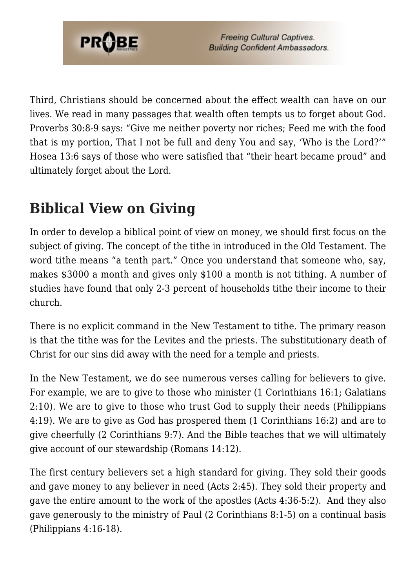

Third, Christians should be concerned about the effect wealth can have on our lives. We read in many passages that wealth often tempts us to forget about God. Proverbs 30:8-9 says: "Give me neither poverty nor riches; Feed me with the food that is my portion, That I not be full and deny You and say, 'Who is the Lord?'" Hosea 13:6 says of those who were satisfied that "their heart became proud" and ultimately forget about the Lord.

# **Biblical View on Giving**

In order to develop a biblical point of view on money, we should first focus on the subject of giving. The concept of the tithe in introduced in the Old Testament. The word tithe means "a tenth part." Once you understand that someone who, say, makes \$3000 a month and gives only \$100 a month is not tithing. A number of studies have found that only 2-3 percent of households tithe their income to their church.

There is no explicit command in the New Testament to tithe. The primary reason is that the tithe was for the Levites and the priests. The substitutionary death of Christ for our sins did away with the need for a temple and priests.

In the New Testament, we do see numerous verses calling for believers to give. For example, we are to give to those who minister (1 Corinthians 16:1; Galatians 2:10). We are to give to those who trust God to supply their needs (Philippians 4:19). We are to give as God has prospered them (1 Corinthians 16:2) and are to give cheerfully (2 Corinthians 9:7). And the Bible teaches that we will ultimately give account of our stewardship (Romans 14:12).

The first century believers set a high standard for giving. They sold their goods and gave money to any believer in need (Acts 2:45). They sold their property and gave the entire amount to the work of the apostles (Acts 4:36-5:2). And they also gave generously to the ministry of Paul (2 Corinthians 8:1-5) on a continual basis (Philippians 4:16-18).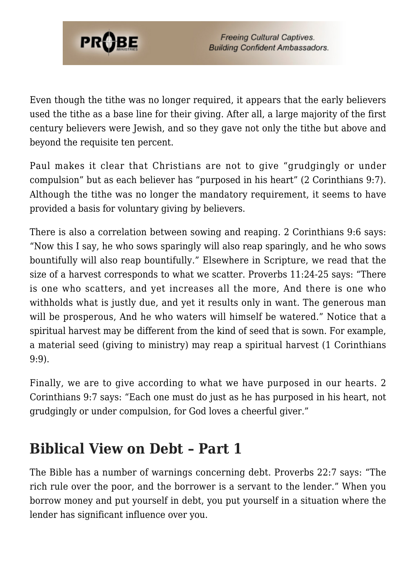

Even though the tithe was no longer required, it appears that the early believers used the tithe as a base line for their giving. After all, a large majority of the first century believers were Jewish, and so they gave not only the tithe but above and beyond the requisite ten percent.

Paul makes it clear that Christians are not to give "grudgingly or under compulsion" but as each believer has "purposed in his heart" (2 Corinthians 9:7). Although the tithe was no longer the mandatory requirement, it seems to have provided a basis for voluntary giving by believers.

There is also a correlation between sowing and reaping. 2 Corinthians 9:6 says: "Now this I say, he who sows sparingly will also reap sparingly, and he who sows bountifully will also reap bountifully." Elsewhere in Scripture, we read that the size of a harvest corresponds to what we scatter. Proverbs 11:24-25 says: "There is one who scatters, and yet increases all the more, And there is one who withholds what is justly due, and yet it results only in want. The generous man will be prosperous, And he who waters will himself be watered." Notice that a spiritual harvest may be different from the kind of seed that is sown. For example, a material seed (giving to ministry) may reap a spiritual harvest (1 Corinthians 9:9).

Finally, we are to give according to what we have purposed in our hearts. 2 Corinthians 9:7 says: "Each one must do just as he has purposed in his heart, not grudgingly or under compulsion, for God loves a cheerful giver."

### **Biblical View on Debt – Part 1**

The Bible has a number of warnings concerning debt. Proverbs 22:7 says: "The rich rule over the poor, and the borrower is a servant to the lender." When you borrow money and put yourself in debt, you put yourself in a situation where the lender has significant influence over you.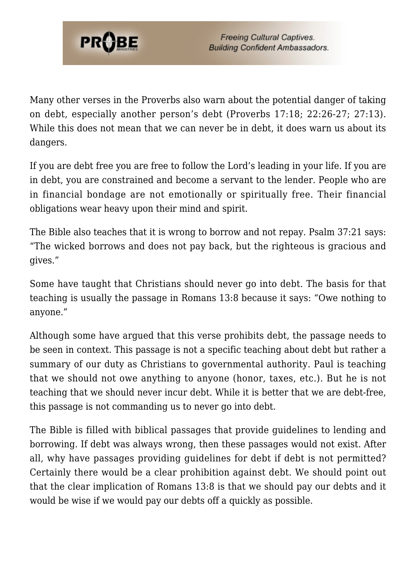

Many other verses in the Proverbs also warn about the potential danger of taking on debt, especially another person's debt (Proverbs 17:18; 22:26-27; 27:13). While this does not mean that we can never be in debt, it does warn us about its dangers.

If you are debt free you are free to follow the Lord's leading in your life. If you are in debt, you are constrained and become a servant to the lender. People who are in financial bondage are not emotionally or spiritually free. Their financial obligations wear heavy upon their mind and spirit.

The Bible also teaches that it is wrong to borrow and not repay. Psalm 37:21 says: "The wicked borrows and does not pay back, but the righteous is gracious and gives."

Some have taught that Christians should never go into debt. The basis for that teaching is usually the passage in Romans 13:8 because it says: "Owe nothing to anyone."

Although some have argued that this verse prohibits debt, the passage needs to be seen in context. This passage is not a specific teaching about debt but rather a summary of our duty as Christians to governmental authority. Paul is teaching that we should not owe anything to anyone (honor, taxes, etc.). But he is not teaching that we should never incur debt. While it is better that we are debt-free, this passage is not commanding us to never go into debt.

The Bible is filled with biblical passages that provide guidelines to lending and borrowing. If debt was always wrong, then these passages would not exist. After all, why have passages providing guidelines for debt if debt is not permitted? Certainly there would be a clear prohibition against debt. We should point out that the clear implication of Romans 13:8 is that we should pay our debts and it would be wise if we would pay our debts off a quickly as possible.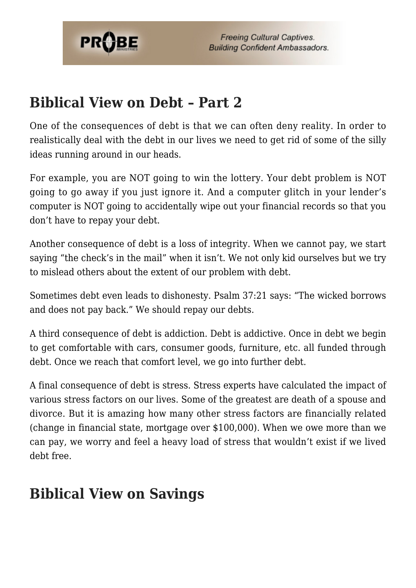

### **Biblical View on Debt – Part 2**

One of the consequences of debt is that we can often deny reality. In order to realistically deal with the debt in our lives we need to get rid of some of the silly ideas running around in our heads.

For example, you are NOT going to win the lottery. Your debt problem is NOT going to go away if you just ignore it. And a computer glitch in your lender's computer is NOT going to accidentally wipe out your financial records so that you don't have to repay your debt.

Another consequence of debt is a loss of integrity. When we cannot pay, we start saying "the check's in the mail" when it isn't. We not only kid ourselves but we try to mislead others about the extent of our problem with debt.

Sometimes debt even leads to dishonesty. Psalm 37:21 says: "The wicked borrows and does not pay back." We should repay our debts.

A third consequence of debt is addiction. Debt is addictive. Once in debt we begin to get comfortable with cars, consumer goods, furniture, etc. all funded through debt. Once we reach that comfort level, we go into further debt.

A final consequence of debt is stress. Stress experts have calculated the impact of various stress factors on our lives. Some of the greatest are death of a spouse and divorce. But it is amazing how many other stress factors are financially related (change in financial state, mortgage over \$100,000). When we owe more than we can pay, we worry and feel a heavy load of stress that wouldn't exist if we lived debt free.

#### **Biblical View on Savings**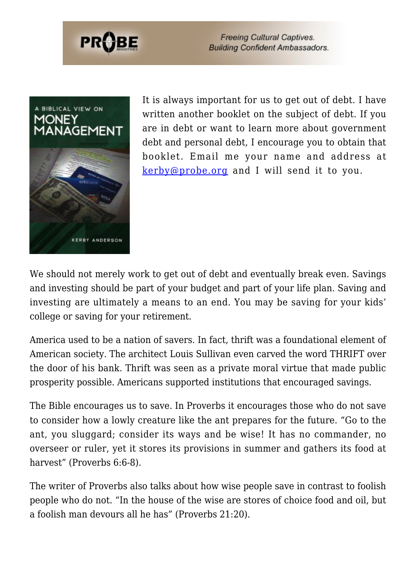

**Freeing Cultural Captives. Building Confident Ambassadors.** 



It is always important for us to get out of debt. I have written another booklet on the subject of debt. If you are in debt or want to learn more about government debt and personal debt, I encourage you to obtain that booklet. Email me your name and address at [kerby@probe.org](mailto:kerby@probe.org) and I will send it to you.

We should not merely work to get out of debt and eventually break even. Savings and investing should be part of your budget and part of your life plan. Saving and investing are ultimately a means to an end. You may be saving for your kids' college or saving for your retirement.

America used to be a nation of savers. In fact, thrift was a foundational element of American society. The architect Louis Sullivan even carved the word THRIFT over the door of his bank. Thrift was seen as a private moral virtue that made public prosperity possible. Americans supported institutions that encouraged savings.

The Bible encourages us to save. In Proverbs it encourages those who do not save to consider how a lowly creature like the ant prepares for the future. "Go to the ant, you sluggard; consider its ways and be wise! It has no commander, no overseer or ruler, yet it stores its provisions in summer and gathers its food at harvest" (Proverbs 6:6-8).

The writer of Proverbs also talks about how wise people save in contrast to foolish people who do not. "In the house of the wise are stores of choice food and oil, but a foolish man devours all he has" (Proverbs 21:20).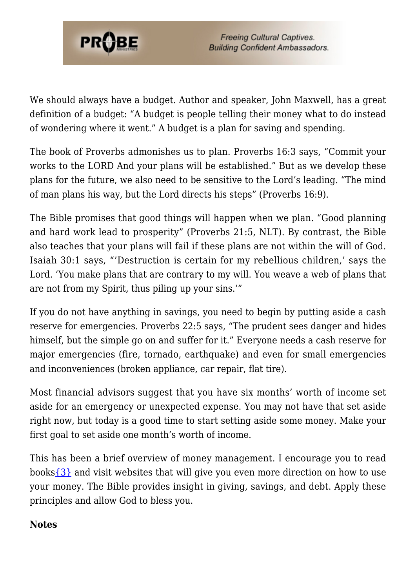

We should always have a budget. Author and speaker, John Maxwell, has a great definition of a budget: "A budget is people telling their money what to do instead of wondering where it went." A budget is a plan for saving and spending.

The book of Proverbs admonishes us to plan. Proverbs 16:3 says, "Commit your works to the LORD And your plans will be established." But as we develop these plans for the future, we also need to be sensitive to the Lord's leading. "The mind of man plans his way, but the Lord directs his steps" (Proverbs 16:9).

The Bible promises that good things will happen when we plan. "Good planning and hard work lead to prosperity" (Proverbs 21:5, NLT). By contrast, the Bible also teaches that your plans will fail if these plans are not within the will of God. Isaiah 30:1 says, "'Destruction is certain for my rebellious children,' says the Lord. 'You make plans that are contrary to my will. You weave a web of plans that are not from my Spirit, thus piling up your sins.'"

If you do not have anything in savings, you need to begin by putting aside a cash reserve for emergencies. Proverbs 22:5 says, "The prudent sees danger and hides himself, but the simple go on and suffer for it." Everyone needs a cash reserve for major emergencies (fire, tornado, earthquake) and even for small emergencies and inconveniences (broken appliance, car repair, flat tire).

Most financial advisors suggest that you have six months' worth of income set aside for an emergency or unexpected expense. You may not have that set aside right now, but today is a good time to start setting aside some money. Make your first goal to set aside one month's worth of income.

This has been a brief overview of money management. I encourage you to read books $\{3\}$  and visit websites that will give you even more direction on how to use your money. The Bible provides insight in giving, savings, and debt. Apply these principles and allow God to bless you.

#### <span id="page-7-0"></span>**Notes**